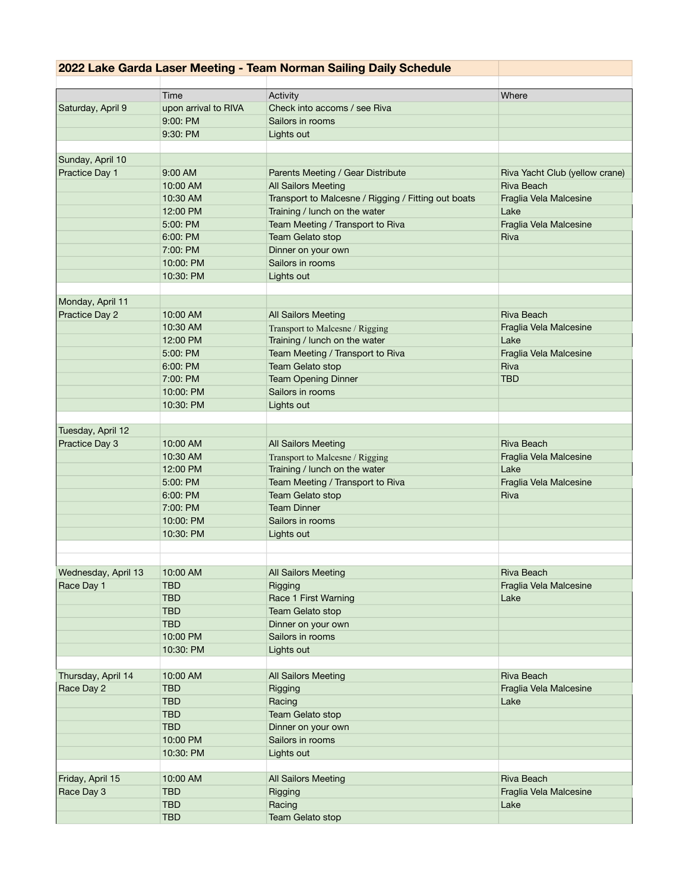## **2022 Lake Garda Laser Meeting - Team Norman Sailing Daily Schedule**

|                     | Time                 | Activity                                            | Where                          |
|---------------------|----------------------|-----------------------------------------------------|--------------------------------|
| Saturday, April 9   | upon arrival to RIVA | Check into accoms / see Riva                        |                                |
|                     | 9:00: PM             | Sailors in rooms                                    |                                |
|                     | 9:30:PM              | Lights out                                          |                                |
| Sunday, April 10    |                      |                                                     |                                |
| Practice Day 1      | 9:00 AM              | Parents Meeting / Gear Distribute                   | Riva Yacht Club (yellow crane) |
|                     | 10:00 AM             | <b>All Sailors Meeting</b>                          | Riva Beach                     |
|                     | 10:30 AM             | Transport to Malcesne / Rigging / Fitting out boats | Fraglia Vela Malcesine         |
|                     | 12:00 PM             | Training / lunch on the water                       | Lake                           |
|                     | 5:00: PM             | Team Meeting / Transport to Riva                    | Fraglia Vela Malcesine         |
|                     | 6:00:PM              | Team Gelato stop                                    | Riva                           |
|                     | 7:00: PM             | Dinner on your own                                  |                                |
|                     | 10:00: PM            | Sailors in rooms                                    |                                |
|                     | 10:30: PM            | Lights out                                          |                                |
|                     |                      |                                                     |                                |
| Monday, April 11    |                      |                                                     |                                |
| Practice Day 2      | 10:00 AM             | <b>All Sailors Meeting</b>                          | Riva Beach                     |
|                     | 10:30 AM             | Transport to Malcesne / Rigging                     | Fraglia Vela Malcesine         |
|                     | 12:00 PM             | Training / lunch on the water                       | Lake                           |
|                     | 5:00: PM             | Team Meeting / Transport to Riva                    | Fraglia Vela Malcesine         |
|                     | 6:00: PM             | Team Gelato stop                                    | Riva                           |
|                     | 7:00: PM             | <b>Team Opening Dinner</b>                          | <b>TBD</b>                     |
|                     | 10:00: PM            | Sailors in rooms                                    |                                |
|                     | 10:30: PM            | Lights out                                          |                                |
|                     |                      |                                                     |                                |
| Tuesday, April 12   |                      |                                                     |                                |
| Practice Day 3      | 10:00 AM             | <b>All Sailors Meeting</b>                          | <b>Riva Beach</b>              |
|                     | 10:30 AM             | Transport to Malcesne / Rigging                     | Fraglia Vela Malcesine         |
|                     | 12:00 PM             | Training / lunch on the water                       | Lake                           |
|                     | 5:00: PM             | Team Meeting / Transport to Riva                    | Fraglia Vela Malcesine         |
|                     | 6:00:PM              | Team Gelato stop                                    | Riva                           |
|                     | 7:00: PM             | <b>Team Dinner</b>                                  |                                |
|                     | 10:00:PM             | Sailors in rooms                                    |                                |
|                     | 10:30: PM            | Lights out                                          |                                |
|                     |                      |                                                     |                                |
|                     |                      |                                                     |                                |
| Wednesday, April 13 | 10:00 AM             | <b>All Sailors Meeting</b>                          | Riva Beach                     |
| Race Day 1          | TBD                  | Rigging                                             | Fraglia Vela Malcesine         |
|                     | <b>TBD</b>           | Race 1 First Warning                                | Lake                           |
|                     | <b>TBD</b>           | Team Gelato stop                                    |                                |
|                     | <b>TBD</b>           | Dinner on your own                                  |                                |
|                     | 10:00 PM             | Sailors in rooms                                    |                                |
|                     | 10:30: PM            | Lights out                                          |                                |
| Thursday, April 14  | 10:00 AM             | <b>All Sailors Meeting</b>                          | Riva Beach                     |
|                     | <b>TBD</b>           | Rigging                                             | Fraglia Vela Malcesine         |
| Race Day 2          | <b>TBD</b>           | Racing                                              | Lake                           |
|                     | <b>TBD</b>           | Team Gelato stop                                    |                                |
|                     | <b>TBD</b>           | Dinner on your own                                  |                                |
|                     | 10:00 PM             | Sailors in rooms                                    |                                |
|                     | 10:30: PM            | Lights out                                          |                                |
|                     |                      |                                                     |                                |
| Friday, April 15    | 10:00 AM             | <b>All Sailors Meeting</b>                          | <b>Riva Beach</b>              |
| Race Day 3          | <b>TBD</b>           | Rigging                                             | Fraglia Vela Malcesine         |
|                     | <b>TBD</b>           | Racing                                              | Lake                           |
|                     | <b>TBD</b>           | Team Gelato stop                                    |                                |
|                     |                      |                                                     |                                |